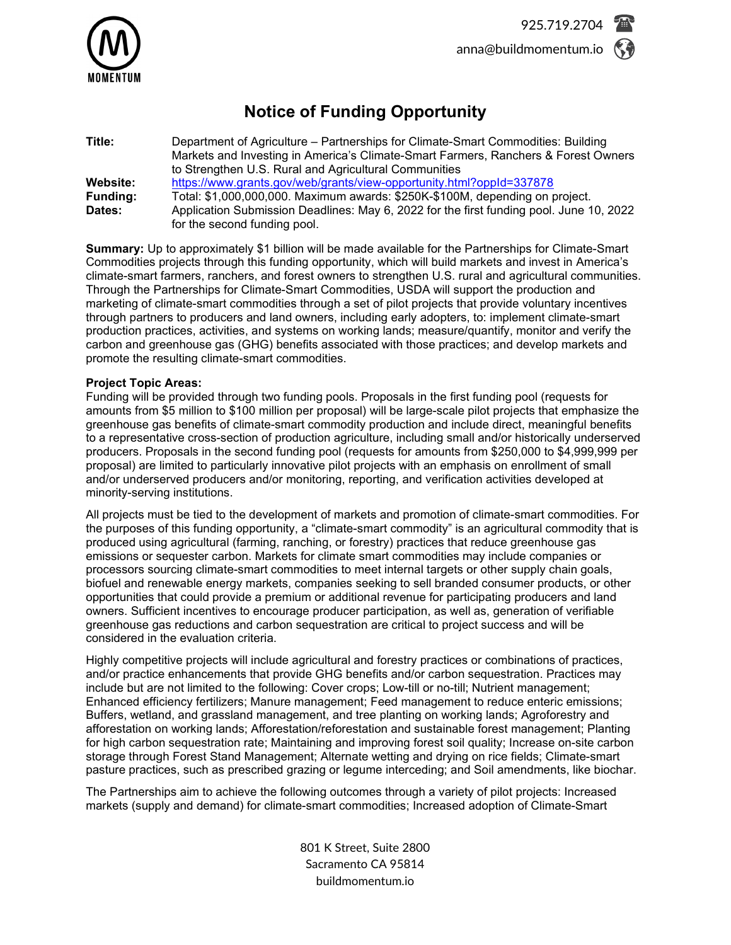

# **Notice of Funding Opportunity**

| Title:          | Department of Agriculture - Partnerships for Climate-Smart Commodities: Building<br>Markets and Investing in America's Climate-Smart Farmers, Ranchers & Forest Owners |
|-----------------|------------------------------------------------------------------------------------------------------------------------------------------------------------------------|
|                 | to Strengthen U.S. Rural and Agricultural Communities                                                                                                                  |
| Website:        | https://www.grants.gov/web/grants/view-opportunity.html?oppId=337878                                                                                                   |
| <b>Funding:</b> | Total: \$1,000,000,000. Maximum awards: \$250K-\$100M, depending on project.                                                                                           |
| Dates:          | Application Submission Deadlines: May 6, 2022 for the first funding pool. June 10, 2022<br>for the second funding pool.                                                |

**Summary:** Up to approximately \$1 billion will be made available for the Partnerships for Climate-Smart Commodities projects through this funding opportunity, which will build markets and invest in America's climate-smart farmers, ranchers, and forest owners to strengthen U.S. rural and agricultural communities. Through the Partnerships for Climate-Smart Commodities, USDA will support the production and marketing of climate-smart commodities through a set of pilot projects that provide voluntary incentives through partners to producers and land owners, including early adopters, to: implement climate-smart production practices, activities, and systems on working lands; measure/quantify, monitor and verify the carbon and greenhouse gas (GHG) benefits associated with those practices; and develop markets and promote the resulting climate-smart commodities.

### **Project Topic Areas:**

Funding will be provided through two funding pools. Proposals in the first funding pool (requests for amounts from \$5 million to \$100 million per proposal) will be large-scale pilot projects that emphasize the greenhouse gas benefits of climate-smart commodity production and include direct, meaningful benefits to a representative cross-section of production agriculture, including small and/or historically underserved producers. Proposals in the second funding pool (requests for amounts from \$250,000 to \$4,999,999 per proposal) are limited to particularly innovative pilot projects with an emphasis on enrollment of small and/or underserved producers and/or monitoring, reporting, and verification activities developed at minority-serving institutions.

All projects must be tied to the development of markets and promotion of climate-smart commodities. For the purposes of this funding opportunity, a "climate-smart commodity" is an agricultural commodity that is produced using agricultural (farming, ranching, or forestry) practices that reduce greenhouse gas emissions or sequester carbon. Markets for climate smart commodities may include companies or processors sourcing climate-smart commodities to meet internal targets or other supply chain goals, biofuel and renewable energy markets, companies seeking to sell branded consumer products, or other opportunities that could provide a premium or additional revenue for participating producers and land owners. Sufficient incentives to encourage producer participation, as well as, generation of verifiable greenhouse gas reductions and carbon sequestration are critical to project success and will be considered in the evaluation criteria.

Highly competitive projects will include agricultural and forestry practices or combinations of practices, and/or practice enhancements that provide GHG benefits and/or carbon sequestration. Practices may include but are not limited to the following: Cover crops; Low-till or no-till; Nutrient management; Enhanced efficiency fertilizers; Manure management; Feed management to reduce enteric emissions; Buffers, wetland, and grassland management, and tree planting on working lands; Agroforestry and afforestation on working lands; Afforestation/reforestation and sustainable forest management; Planting for high carbon sequestration rate; Maintaining and improving forest soil quality; Increase on-site carbon storage through Forest Stand Management; Alternate wetting and drying on rice fields; Climate-smart pasture practices, such as prescribed grazing or legume interceding; and Soil amendments, like biochar.

The Partnerships aim to achieve the following outcomes through a variety of pilot projects: Increased markets (supply and demand) for climate-smart commodities; Increased adoption of Climate-Smart

> 801 K Street, Suite 2800 Sacramento CA 95814 buildmomentum.io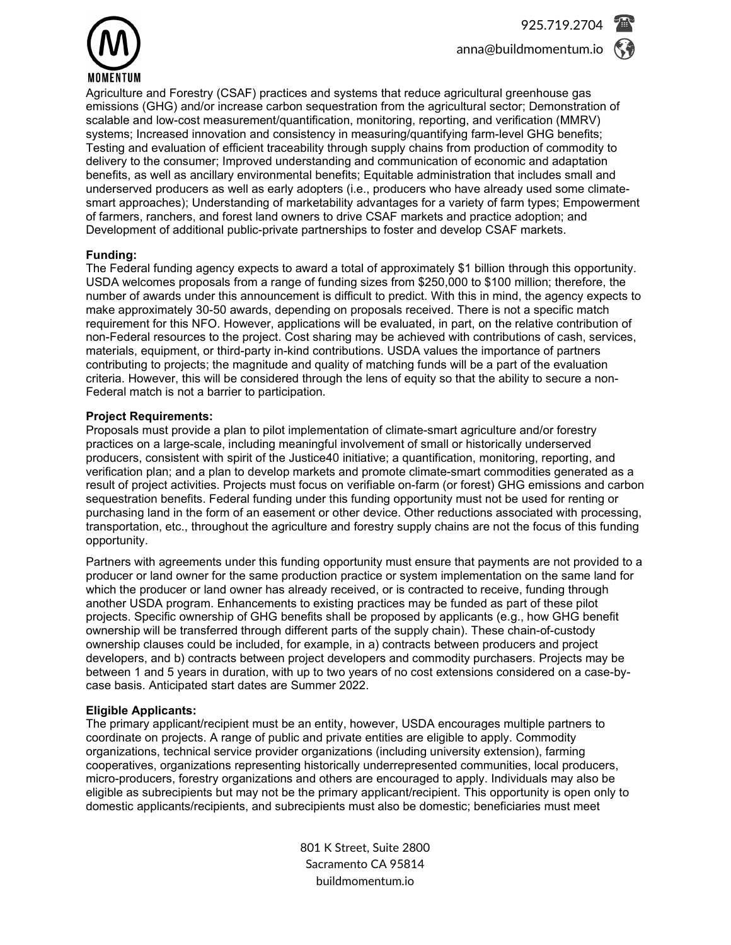

Agriculture and Forestry (CSAF) practices and systems that reduce agricultural greenhouse gas emissions (GHG) and/or increase carbon sequestration from the agricultural sector; Demonstration of scalable and low-cost measurement/quantification, monitoring, reporting, and verification (MMRV) systems; Increased innovation and consistency in measuring/quantifying farm-level GHG benefits; Testing and evaluation of efficient traceability through supply chains from production of commodity to delivery to the consumer; Improved understanding and communication of economic and adaptation benefits, as well as ancillary environmental benefits; Equitable administration that includes small and underserved producers as well as early adopters (i.e., producers who have already used some climatesmart approaches); Understanding of marketability advantages for a variety of farm types; Empowerment of farmers, ranchers, and forest land owners to drive CSAF markets and practice adoption; and Development of additional public-private partnerships to foster and develop CSAF markets.

## **Funding:**

The Federal funding agency expects to award a total of approximately \$1 billion through this opportunity. USDA welcomes proposals from a range of funding sizes from \$250,000 to \$100 million; therefore, the number of awards under this announcement is difficult to predict. With this in mind, the agency expects to make approximately 30-50 awards, depending on proposals received. There is not a specific match requirement for this NFO. However, applications will be evaluated, in part, on the relative contribution of non-Federal resources to the project. Cost sharing may be achieved with contributions of cash, services, materials, equipment, or third-party in-kind contributions. USDA values the importance of partners contributing to projects; the magnitude and quality of matching funds will be a part of the evaluation criteria. However, this will be considered through the lens of equity so that the ability to secure a non-Federal match is not a barrier to participation.

## **Project Requirements:**

Proposals must provide a plan to pilot implementation of climate-smart agriculture and/or forestry practices on a large-scale, including meaningful involvement of small or historically underserved producers, consistent with spirit of the Justice40 initiative; a quantification, monitoring, reporting, and verification plan; and a plan to develop markets and promote climate-smart commodities generated as a result of project activities. Projects must focus on verifiable on-farm (or forest) GHG emissions and carbon sequestration benefits. Federal funding under this funding opportunity must not be used for renting or purchasing land in the form of an easement or other device. Other reductions associated with processing, transportation, etc., throughout the agriculture and forestry supply chains are not the focus of this funding opportunity.

Partners with agreements under this funding opportunity must ensure that payments are not provided to a producer or land owner for the same production practice or system implementation on the same land for which the producer or land owner has already received, or is contracted to receive, funding through another USDA program. Enhancements to existing practices may be funded as part of these pilot projects. Specific ownership of GHG benefits shall be proposed by applicants (e.g., how GHG benefit ownership will be transferred through different parts of the supply chain). These chain-of-custody ownership clauses could be included, for example, in a) contracts between producers and project developers, and b) contracts between project developers and commodity purchasers. Projects may be between 1 and 5 years in duration, with up to two years of no cost extensions considered on a case-bycase basis. Anticipated start dates are Summer 2022.

### **Eligible Applicants:**

The primary applicant/recipient must be an entity, however, USDA encourages multiple partners to coordinate on projects. A range of public and private entities are eligible to apply. Commodity organizations, technical service provider organizations (including university extension), farming cooperatives, organizations representing historically underrepresented communities, local producers, micro-producers, forestry organizations and others are encouraged to apply. Individuals may also be eligible as subrecipients but may not be the primary applicant/recipient. This opportunity is open only to domestic applicants/recipients, and subrecipients must also be domestic; beneficiaries must meet

> 801 K Street, Suite 2800 Sacramento CA 95814 buildmomentum.io